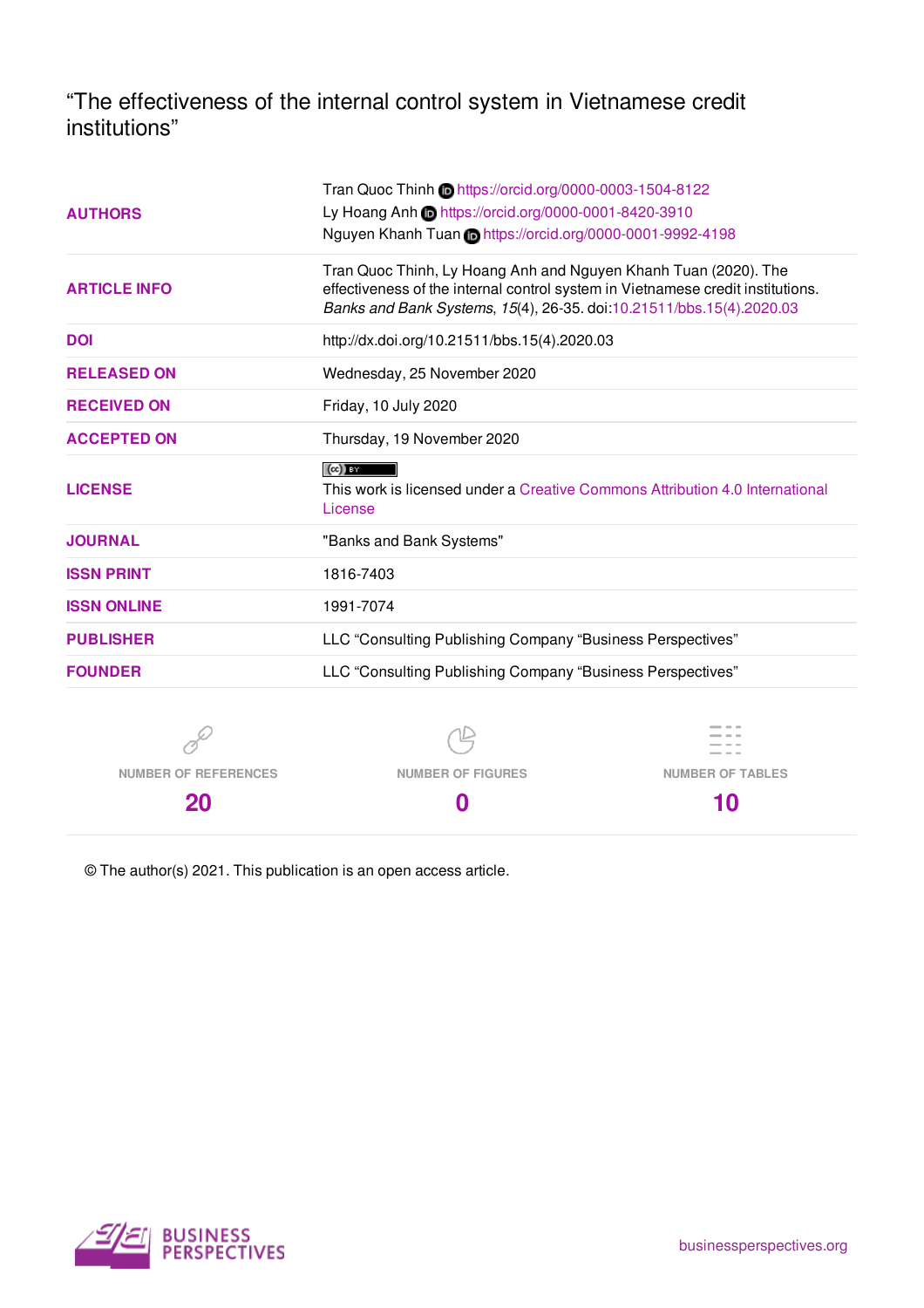"The effectiveness of the internal control system in Vietnamese credit institutions"

|                             | Tran Quoc Thinh Chttps://orcid.org/0000-0003-1504-8122                                                                                             |                         |
|-----------------------------|----------------------------------------------------------------------------------------------------------------------------------------------------|-------------------------|
| <b>AUTHORS</b>              | Ly Hoang Anh the https://orcid.org/0000-0001-8420-3910                                                                                             |                         |
|                             | Nguyen Khanh Tuan Dhttps://orcid.org/0000-0001-9992-4198                                                                                           |                         |
| <b>ARTICLE INFO</b>         | Tran Quoc Thinh, Ly Hoang Anh and Nguyen Khanh Tuan (2020). The<br>effectiveness of the internal control system in Vietnamese credit institutions. |                         |
|                             | Banks and Bank Systems, 15(4), 26-35. doi:10.21511/bbs.15(4).2020.03                                                                               |                         |
| <b>DOI</b>                  | http://dx.doi.org/10.21511/bbs.15(4).2020.03                                                                                                       |                         |
| <b>RELEASED ON</b>          | Wednesday, 25 November 2020                                                                                                                        |                         |
| <b>RECEIVED ON</b>          | Friday, 10 July 2020                                                                                                                               |                         |
| <b>ACCEPTED ON</b>          | Thursday, 19 November 2020                                                                                                                         |                         |
|                             | $\left(\mathrm{cc}\right)$ by                                                                                                                      |                         |
| <b>LICENSE</b>              | This work is licensed under a Creative Commons Attribution 4.0 International<br>License                                                            |                         |
| <b>JOURNAL</b>              | "Banks and Bank Systems"                                                                                                                           |                         |
| <b>ISSN PRINT</b>           | 1816-7403                                                                                                                                          |                         |
| <b>ISSN ONLINE</b>          | 1991-7074                                                                                                                                          |                         |
| <b>PUBLISHER</b>            | LLC "Consulting Publishing Company "Business Perspectives"                                                                                         |                         |
| <b>FOUNDER</b>              | LLC "Consulting Publishing Company "Business Perspectives"                                                                                         |                         |
|                             |                                                                                                                                                    |                         |
|                             |                                                                                                                                                    |                         |
| <b>NUMBER OF REFERENCES</b> | <b>NUMBER OF FIGURES</b>                                                                                                                           | <b>NUMBER OF TABLES</b> |

**0**

© The author(s) 2021. This publication is an open access article.



**20**

**10**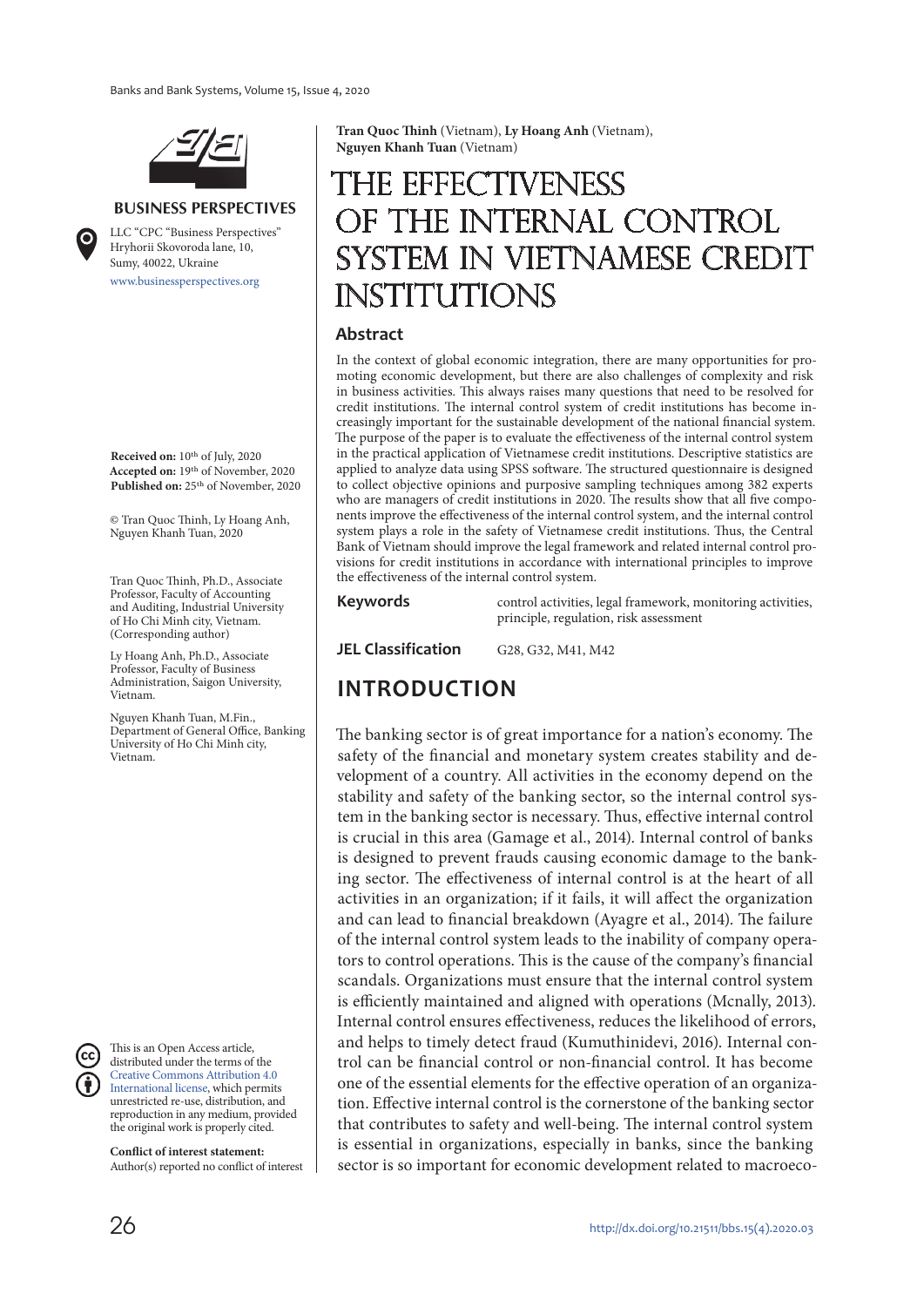

#### **BUSINESS PERSPECTIVES**

www.businessperspectives.org LLC "СPС "Business Perspectives" Hryhorii Skovoroda lane, 10, Sumy, 40022, Ukraine

**Received on:** 10th of July, 2020 **Accepted on:** 19th of November, 2020 Published on: 25<sup>th</sup> of November, 2020

© Tran Quoc Thinh, Ly Hoang Anh, Nguyen Khanh Tuan, 2020

Tran Quoc Thinh, Ph.D., Associate Professor, Faculty of Accounting and Auditing, Industrial University of Ho Chi Minh city, Vietnam. (Corresponding author)

Ly Hoang Anh, Ph.D., Associate Professor, Faculty of Business Administration, Saigon University, Vietnam.

Nguyen Khanh Tuan, M.Fin., Department of General Office, Banking University of Ho Chi Minh city, Vietnam.



This is an Open Access article, distributed under the terms of the Creative Commons Attribution 4.0 International license, which permits unrestricted re-use, distribution, and reproduction in any medium, provided the original work is properly cited.

**Conflict of interest statement:**  Author(s) reported no conflict of interest **Tran Quoc Thinh** (Vietnam), **Ly Hoang Anh** (Vietnam), **Nguyen Khanh Tuan** (Vietnam)

# The effectiveness of the internal control system in Vietnamese credit **INSTITUTIONS**

#### **Abstract**

In the context of global economic integration, there are many opportunities for promoting economic development, but there are also challenges of complexity and risk in business activities. This always raises many questions that need to be resolved for credit institutions. The internal control system of credit institutions has become increasingly important for the sustainable development of the national financial system. The purpose of the paper is to evaluate the effectiveness of the internal control system in the practical application of Vietnamese credit institutions. Descriptive statistics are applied to analyze data using SPSS software. The structured questionnaire is designed to collect objective opinions and purposive sampling techniques among 382 experts who are managers of credit institutions in 2020. The results show that all five components improve the effectiveness of the internal control system, and the internal control system plays a role in the safety of Vietnamese credit institutions. Thus, the Central Bank of Vietnam should improve the legal framework and related internal control provisions for credit institutions in accordance with international principles to improve the effectiveness of the internal control system.

**Keywords** control activities, legal framework, monitoring activities, principle, regulation, risk assessment

**JEL Classification** G28, G32, M41, M42

#### **INTRODUCTION**

The banking sector is of great importance for a nation's economy. The safety of the financial and monetary system creates stability and development of a country. All activities in the economy depend on the stability and safety of the banking sector, so the internal control system in the banking sector is necessary. Thus, effective internal control is crucial in this area (Gamage et al., 2014). Internal control of banks is designed to prevent frauds causing economic damage to the banking sector. The effectiveness of internal control is at the heart of all activities in an organization; if it fails, it will affect the organization and can lead to financial breakdown (Ayagre et al., 2014). The failure of the internal control system leads to the inability of company operators to control operations. This is the cause of the company's financial scandals. Organizations must ensure that the internal control system is efficiently maintained and aligned with operations (Mcnally, 2013). Internal control ensures effectiveness, reduces the likelihood of errors, and helps to timely detect fraud (Kumuthinidevi, 2016). Internal control can be financial control or non-financial control. It has become one of the essential elements for the effective operation of an organization. Effective internal control is the cornerstone of the banking sector that contributes to safety and well-being. The internal control system is essential in organizations, especially in banks, since the banking sector is so important for economic development related to macroeco-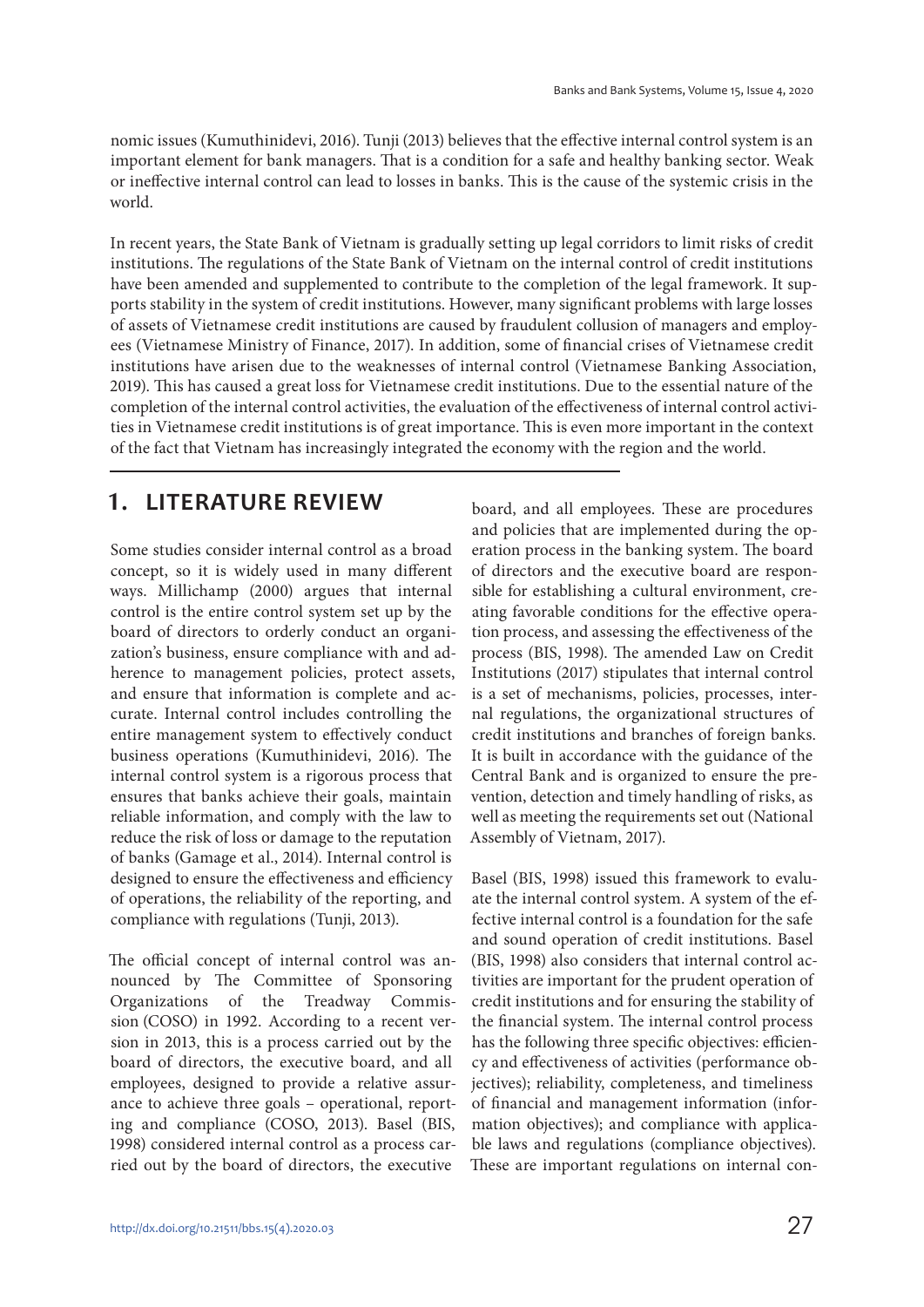nomic issues (Kumuthinidevi, 2016). Tunji (2013) believes that the effective internal control system is an important element for bank managers. That is a condition for a safe and healthy banking sector. Weak or ineffective internal control can lead to losses in banks. This is the cause of the systemic crisis in the world.

In recent years, the State Bank of Vietnam is gradually setting up legal corridors to limit risks of credit institutions. The regulations of the State Bank of Vietnam on the internal control of credit institutions have been amended and supplemented to contribute to the completion of the legal framework. It supports stability in the system of credit institutions. However, many significant problems with large losses of assets of Vietnamese credit institutions are caused by fraudulent collusion of managers and employees (Vietnamese Ministry of Finance, 2017). In addition, some of financial crises of Vietnamese credit institutions have arisen due to the weaknesses of internal control (Vietnamese Banking Association, 2019). This has caused a great loss for Vietnamese credit institutions. Due to the essential nature of the completion of the internal control activities, the evaluation of the effectiveness of internal control activities in Vietnamese credit institutions is of great importance. This is even more important in the context of the fact that Vietnam has increasingly integrated the economy with the region and the world.

#### **1. LITERATURE REVIEW**

Some studies consider internal control as a broad concept, so it is widely used in many different ways. Millichamp (2000) argues that internal control is the entire control system set up by the board of directors to orderly conduct an organization's business, ensure compliance with and adherence to management policies, protect assets, and ensure that information is complete and accurate. Internal control includes controlling the entire management system to effectively conduct business operations (Kumuthinidevi, 2016). The internal control system is a rigorous process that ensures that banks achieve their goals, maintain reliable information, and comply with the law to reduce the risk of loss or damage to the reputation of banks (Gamage et al., 2014). Internal control is designed to ensure the effectiveness and efficiency of operations, the reliability of the reporting, and compliance with regulations (Tunji, 2013).

The official concept of internal control was announced by The Committee of Sponsoring Organizations of the Treadway Commission (COSO) in 1992. According to a recent version in 2013, this is a process carried out by the board of directors, the executive board, and all employees, designed to provide a relative assurance to achieve three goals – operational, reporting and compliance (COSO, 2013). Basel (BIS, 1998) considered internal control as a process carried out by the board of directors, the executive

board, and all employees. These are procedures and policies that are implemented during the operation process in the banking system. The board of directors and the executive board are responsible for establishing a cultural environment, creating favorable conditions for the effective operation process, and assessing the effectiveness of the process (BIS, 1998). The amended Law on Credit Institutions (2017) stipulates that internal control is a set of mechanisms, policies, processes, internal regulations, the organizational structures of credit institutions and branches of foreign banks. It is built in accordance with the guidance of the Central Bank and is organized to ensure the prevention, detection and timely handling of risks, as well as meeting the requirements set out (National Assembly of Vietnam, 2017).

Basel (BIS, 1998) issued this framework to evaluate the internal control system. A system of the effective internal control is a foundation for the safe and sound operation of credit institutions. Basel (BIS, 1998) also considers that internal control activities are important for the prudent operation of credit institutions and for ensuring the stability of the financial system. The internal control process has the following three specific objectives: efficiency and effectiveness of activities (performance objectives); reliability, completeness, and timeliness of financial and management information (information objectives); and compliance with applicable laws and regulations (compliance objectives). These are important regulations on internal con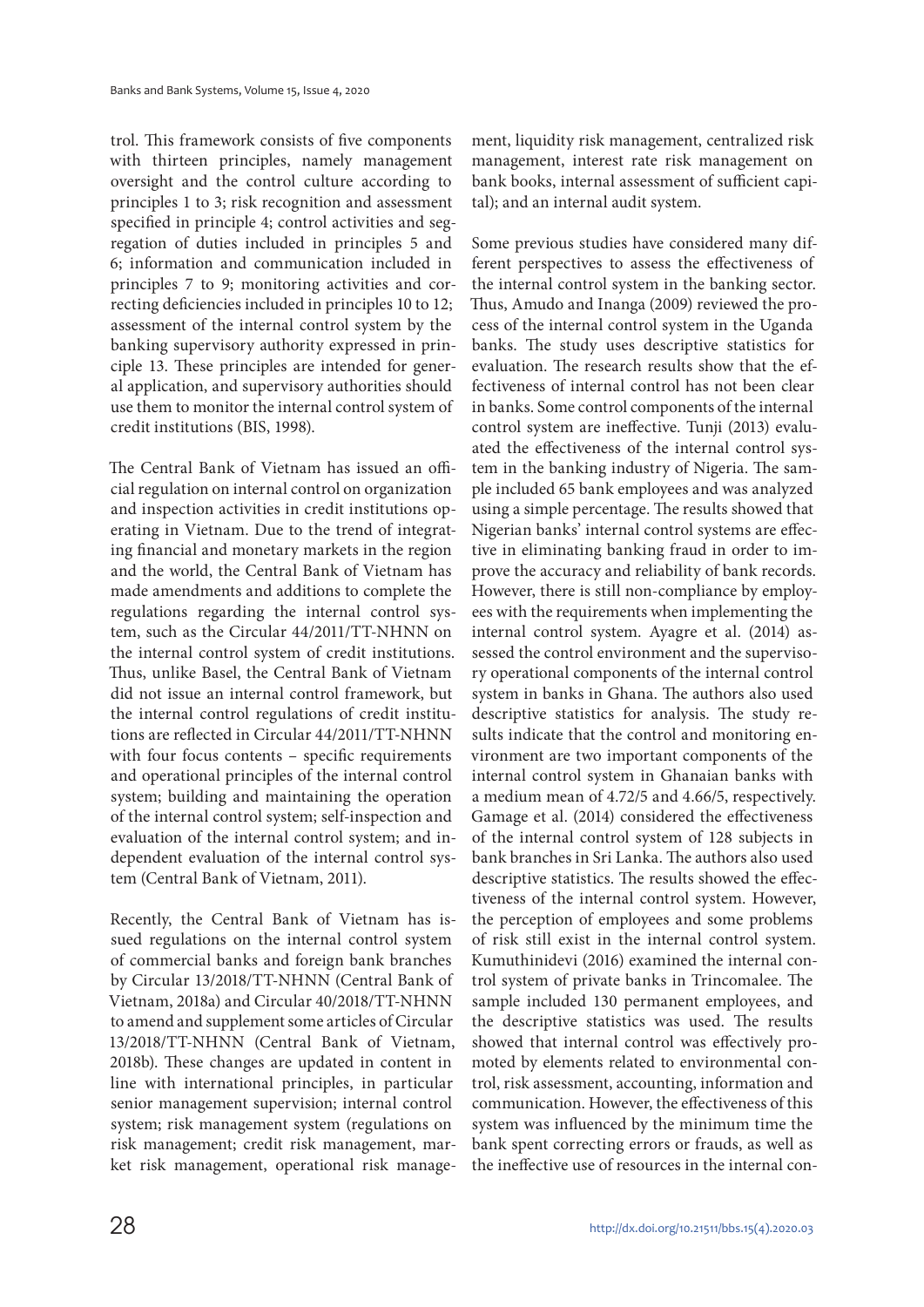trol. This framework consists of five components with thirteen principles, namely management oversight and the control culture according to principles 1 to 3; risk recognition and assessment specified in principle 4; control activities and segregation of duties included in principles 5 and 6; information and communication included in principles 7 to 9; monitoring activities and correcting deficiencies included in principles 10 to 12; assessment of the internal control system by the banking supervisory authority expressed in principle 13. These principles are intended for general application, and supervisory authorities should use them to monitor the internal control system of credit institutions (BIS, 1998).

The Central Bank of Vietnam has issued an official regulation on internal control on organization and inspection activities in credit institutions operating in Vietnam. Due to the trend of integrating financial and monetary markets in the region and the world, the Central Bank of Vietnam has made amendments and additions to complete the regulations regarding the internal control system, such as the Circular 44/2011/TT-NHNN on the internal control system of credit institutions. Thus, unlike Basel, the Central Bank of Vietnam did not issue an internal control framework, but the internal control regulations of credit institutions are reflected in Circular 44/2011/TT-NHNN with four focus contents – specific requirements and operational principles of the internal control system; building and maintaining the operation of the internal control system; self-inspection and evaluation of the internal control system; and independent evaluation of the internal control system (Central Bank of Vietnam, 2011).

Recently, the Central Bank of Vietnam has issued regulations on the internal control system of commercial banks and foreign bank branches by Circular 13/2018/TT-NHNN (Central Bank of Vietnam, 2018a) and Circular 40/2018/TT-NHNN to amend and supplement some articles of Circular 13/2018/TT-NHNN (Central Bank of Vietnam, 2018b). These changes are updated in content in line with international principles, in particular senior management supervision; internal control system; risk management system (regulations on risk management; credit risk management, market risk management, operational risk management, liquidity risk management, centralized risk management, interest rate risk management on bank books, internal assessment of sufficient capital); and an internal audit system.

Some previous studies have considered many different perspectives to assess the effectiveness of the internal control system in the banking sector. Thus, Amudo and Inanga (2009) reviewed the process of the internal control system in the Uganda banks. The study uses descriptive statistics for evaluation. The research results show that the effectiveness of internal control has not been clear in banks. Some control components of the internal control system are ineffective. Tunji (2013) evaluated the effectiveness of the internal control system in the banking industry of Nigeria. The sample included 65 bank employees and was analyzed using a simple percentage. The results showed that Nigerian banks' internal control systems are effective in eliminating banking fraud in order to improve the accuracy and reliability of bank records. However, there is still non-compliance by employees with the requirements when implementing the internal control system. Ayagre et al. (2014) assessed the control environment and the supervisory operational components of the internal control system in banks in Ghana. The authors also used descriptive statistics for analysis. The study results indicate that the control and monitoring environment are two important components of the internal control system in Ghanaian banks with a medium mean of 4.72/5 and 4.66/5, respectively. Gamage et al. (2014) considered the effectiveness of the internal control system of 128 subjects in bank branches in Sri Lanka. The authors also used descriptive statistics. The results showed the effectiveness of the internal control system. However, the perception of employees and some problems of risk still exist in the internal control system. Kumuthinidevi (2016) examined the internal control system of private banks in Trincomalee. The sample included 130 permanent employees, and the descriptive statistics was used. The results showed that internal control was effectively promoted by elements related to environmental control, risk assessment, accounting, information and communication. However, the effectiveness of this system was influenced by the minimum time the bank spent correcting errors or frauds, as well as the ineffective use of resources in the internal con-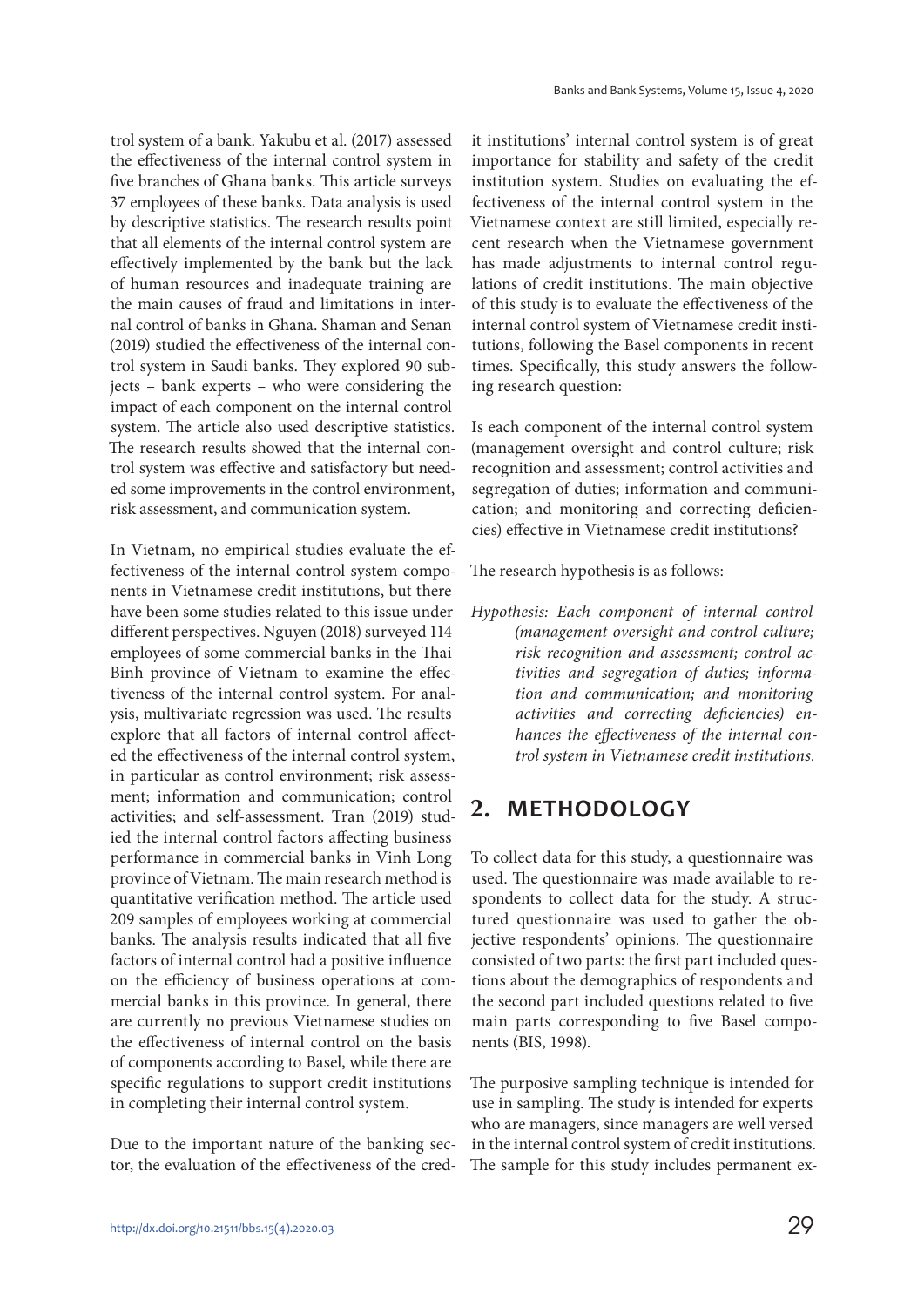trol system of a bank. Yakubu et al. (2017) assessed the effectiveness of the internal control system in five branches of Ghana banks. This article surveys 37 employees of these banks. Data analysis is used by descriptive statistics. The research results point that all elements of the internal control system are effectively implemented by the bank but the lack of human resources and inadequate training are the main causes of fraud and limitations in internal control of banks in Ghana. Shaman and Senan (2019) studied the effectiveness of the internal control system in Saudi banks. They explored 90 subjects – bank experts – who were considering the impact of each component on the internal control system. The article also used descriptive statistics. The research results showed that the internal control system was effective and satisfactory but needed some improvements in the control environment, risk assessment, and communication system.

In Vietnam, no empirical studies evaluate the effectiveness of the internal control system components in Vietnamese credit institutions, but there have been some studies related to this issue under different perspectives. Nguyen (2018) surveyed 114 employees of some commercial banks in the Thai Binh province of Vietnam to examine the effectiveness of the internal control system. For analysis, multivariate regression was used. The results explore that all factors of internal control affected the effectiveness of the internal control system, in particular as control environment; risk assessment; information and communication; control activities; and self-assessment. Tran (2019) studied the internal control factors affecting business performance in commercial banks in Vinh Long province of Vietnam. The main research method is quantitative verification method. The article used 209 samples of employees working at commercial banks. The analysis results indicated that all five factors of internal control had a positive influence on the efficiency of business operations at commercial banks in this province. In general, there are currently no previous Vietnamese studies on the effectiveness of internal control on the basis of components according to Basel, while there are specific regulations to support credit institutions in completing their internal control system.

Due to the important nature of the banking sector, the evaluation of the effectiveness of the credit institutions' internal control system is of great importance for stability and safety of the credit institution system. Studies on evaluating the effectiveness of the internal control system in the Vietnamese context are still limited, especially recent research when the Vietnamese government has made adjustments to internal control regulations of credit institutions. The main objective of this study is to evaluate the effectiveness of the internal control system of Vietnamese credit institutions, following the Basel components in recent times. Specifically, this study answers the following research question:

Is each component of the internal control system (management oversight and control culture; risk recognition and assessment; control activities and segregation of duties; information and communication; and monitoring and correcting deficiencies) effective in Vietnamese credit institutions?

The research hypothesis is as follows:

Hypothesis: Each component of internal control (management oversight and control culture; risk recognition and assessment; control activities and segregation of duties; information and communication; and monitoring activities and correcting deficiencies) enhances the effectiveness of the internal control system in Vietnamese credit institutions.

## **2. METHODOLOGY**

To collect data for this study, a questionnaire was used. The questionnaire was made available to respondents to collect data for the study. A structured questionnaire was used to gather the objective respondents' opinions. The questionnaire consisted of two parts: the first part included questions about the demographics of respondents and the second part included questions related to five main parts corresponding to five Basel components (BIS, 1998).

The purposive sampling technique is intended for use in sampling. The study is intended for experts who are managers, since managers are well versed in the internal control system of credit institutions. The sample for this study includes permanent ex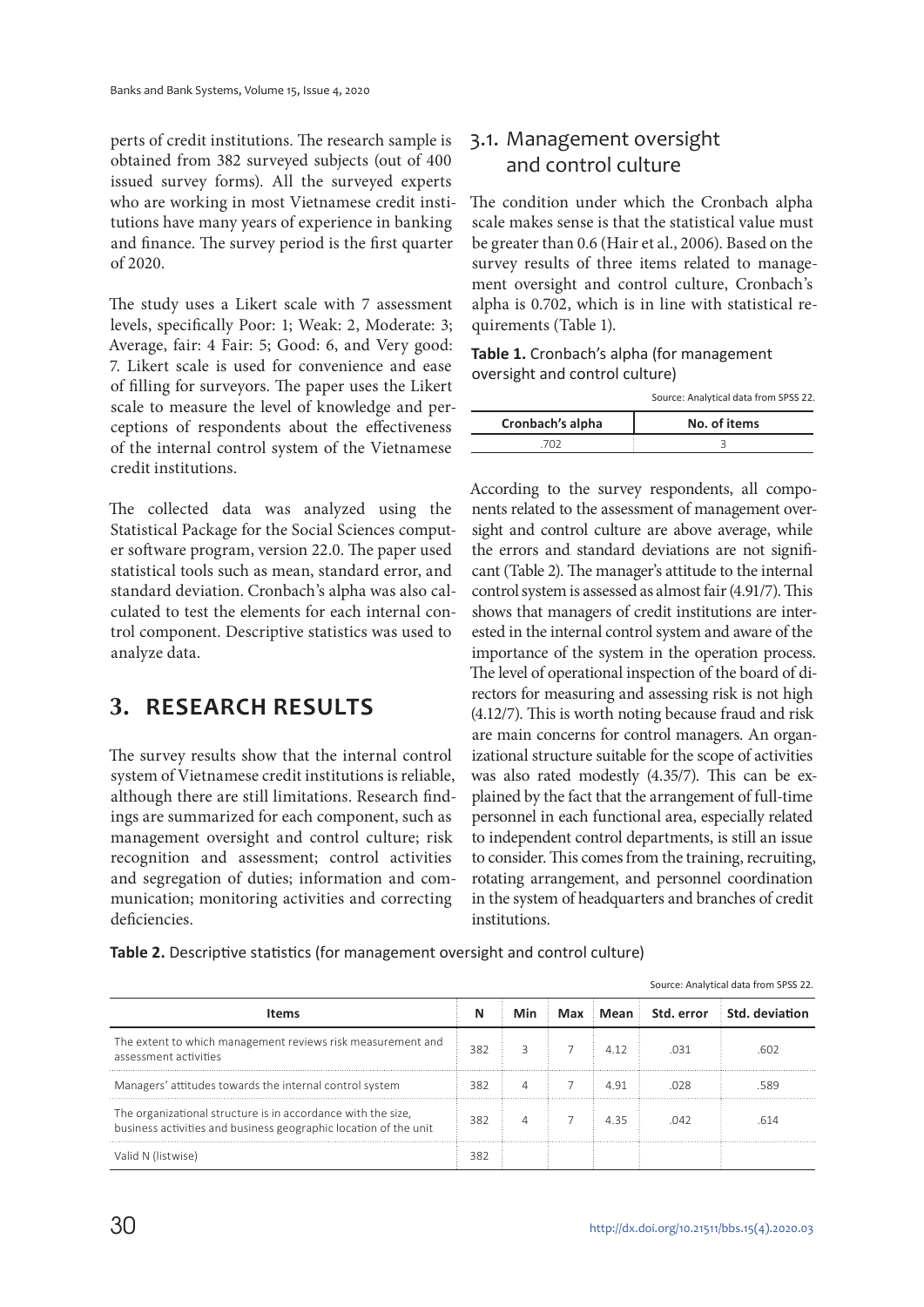perts of credit institutions. The research sample is obtained from 382 surveyed subjects (out of 400 issued survey forms). All the surveyed experts who are working in most Vietnamese credit institutions have many years of experience in banking and finance. The survey period is the first quarter of 2020.

The study uses a Likert scale with 7 assessment levels, specifically Poor: 1; Weak: 2, Moderate: 3; Average, fair: 4 Fair: 5; Good: 6, and Very good: 7. Likert scale is used for convenience and ease of filling for surveyors. The paper uses the Likert scale to measure the level of knowledge and perceptions of respondents about the effectiveness of the internal control system of the Vietnamese credit institutions.

The collected data was analyzed using the Statistical Package for the Social Sciences computer software program, version 22.0. The paper used statistical tools such as mean, standard error, and standard deviation. Cronbach's alpha was also calculated to test the elements for each internal control component. Descriptive statistics was used to analyze data.

## **3. RESEARCH RESULTS**

The survey results show that the internal control system of Vietnamese credit institutions is reliable, although there are still limitations. Research findings are summarized for each component, such as management oversight and control culture; risk recognition and assessment; control activities and segregation of duties; information and communication; monitoring activities and correcting deficiencies.

#### 3.1. Management oversight and control culture

The condition under which the Cronbach alpha scale makes sense is that the statistical value must be greater than 0.6 (Hair et al., 2006). Based on the survey results of three items related to management oversight and control culture, Cronbach's alpha is 0.702, which is in line with statistical requirements (Table 1).

| Table 1. Cronbach's alpha (for management |
|-------------------------------------------|
| oversight and control culture)            |

|                  | Source: Analytical data from SPSS 22. |
|------------------|---------------------------------------|
| Cronbach's alpha | No. of items                          |
|                  |                                       |

According to the survey respondents, all components related to the assessment of management oversight and control culture are above average, while the errors and standard deviations are not significant (Table 2). The manager's attitude to the internal control system is assessed as almost fair (4.91/7). This shows that managers of credit institutions are interested in the internal control system and aware of the importance of the system in the operation process. The level of operational inspection of the board of directors for measuring and assessing risk is not high (4.12/7). This is worth noting because fraud and risk are main concerns for control managers. An organizational structure suitable for the scope of activities was also rated modestly (4.35/7). This can be explained by the fact that the arrangement of full-time personnel in each functional area, especially related to independent control departments, is still an issue to consider. This comes from the training, recruiting, rotating arrangement, and personnel coordination in the system of headquarters and branches of credit institutions.

**Table 2.** Descriptive statistics (for management oversight and control culture)

|                                                                                                                                  |     |     |       | 30 artic. Analytical data from 3r33 22. |                                    |  |
|----------------------------------------------------------------------------------------------------------------------------------|-----|-----|-------|-----------------------------------------|------------------------------------|--|
| <b>Items</b>                                                                                                                     |     | Min |       |                                         | Max Mean Std. error Std. deviation |  |
| The extent to which management reviews risk measurement and<br>assessment activities                                             | 382 |     | 4 1 2 | 031                                     | 602                                |  |
| Managers' attitudes towards the internal control system                                                                          | 382 |     | 4.91  | 028                                     | .589                               |  |
| The organizational structure is in accordance with the size,<br>business activities and business geographic location of the unit | 382 | 4   | 435   | 042                                     | 614                                |  |
| Valid N (listwise)                                                                                                               |     |     |       |                                         |                                    |  |

Source: Analytical data from SPSS 22.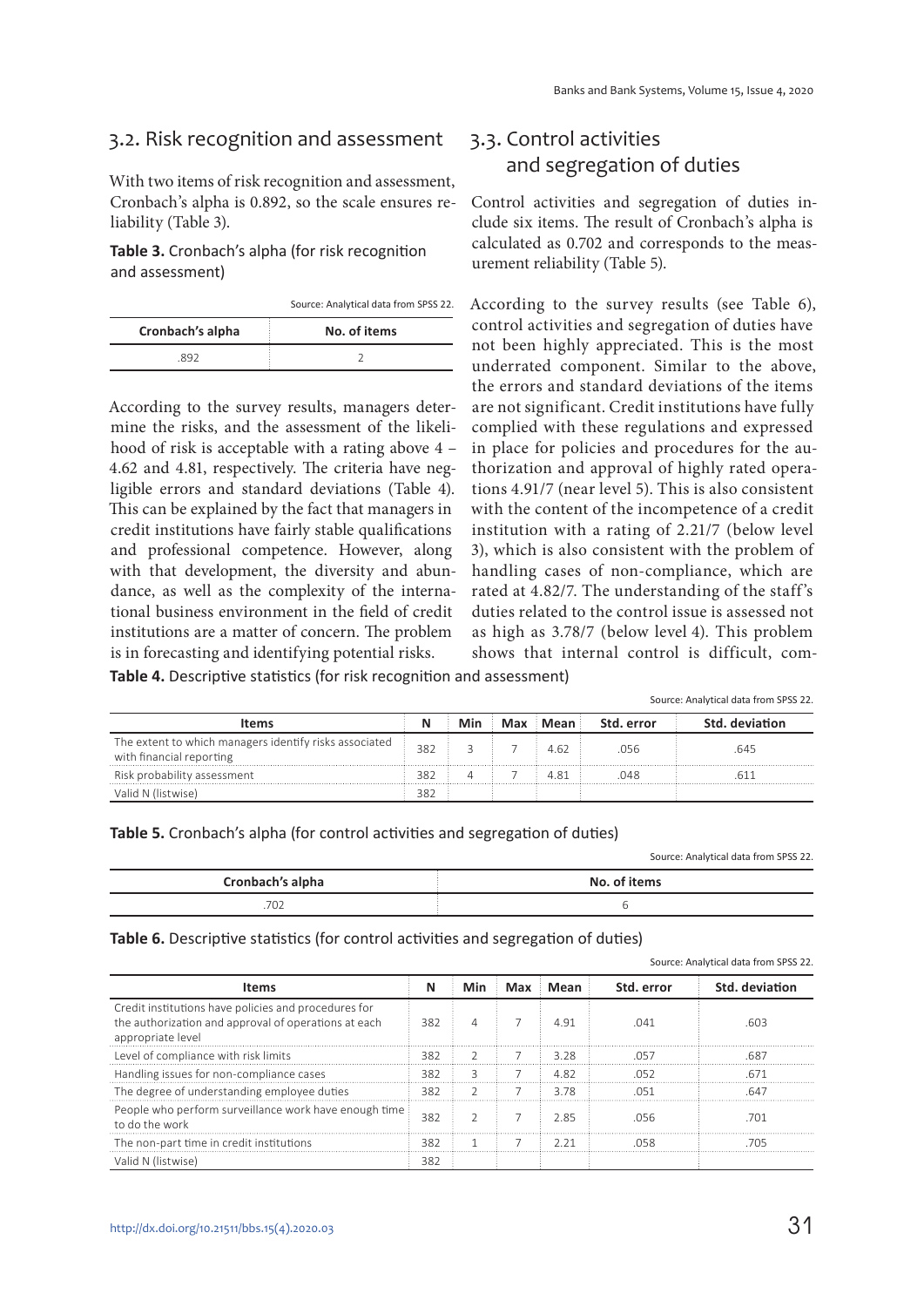#### 3.2. Risk recognition and assessment

With two items of risk recognition and assessment, Cronbach's alpha is 0.892, so the scale ensures reliability (Table 3).

**Table 3.** Cronbach's alpha (for risk recognition and assessment)

Source: Analytical data from SPSS 22.

| Cronbach's alpha | No. of items |
|------------------|--------------|
| 892              |              |

According to the survey results, managers determine the risks, and the assessment of the likelihood of risk is acceptable with a rating above 4 – 4.62 and 4.81, respectively. The criteria have negligible errors and standard deviations (Table 4). This can be explained by the fact that managers in credit institutions have fairly stable qualifications and professional competence. However, along with that development, the diversity and abundance, as well as the complexity of the international business environment in the field of credit institutions are a matter of concern. The problem is in forecasting and identifying potential risks.

#### 3.3. Control activities and segregation of duties

Control activities and segregation of duties include six items. The result of Cronbach's alpha is calculated as 0.702 and corresponds to the measurement reliability (Table 5).

According to the survey results (see Table 6), control activities and segregation of duties have not been highly appreciated. This is the most underrated component. Similar to the above, the errors and standard deviations of the items are not significant. Credit institutions have fully complied with these regulations and expressed in place for policies and procedures for the authorization and approval of highly rated operations 4.91/7 (near level 5). This is also consistent with the content of the incompetence of a credit institution with a rating of 2.21/7 (below level 3), which is also consistent with the problem of handling cases of non-compliance, which are rated at 4.82/7. The understanding of the staff's duties related to the control issue is assessed not as high as 3.78/7 (below level 4). This problem shows that internal control is difficult, com-

**Table 4.** Descriptive statistics (for risk recognition and assessment)

|                                                                                    |     |     |          | Source: Analytical data from SPSS 22. |                |  |  |
|------------------------------------------------------------------------------------|-----|-----|----------|---------------------------------------|----------------|--|--|
| <b>Items</b>                                                                       |     | Min | Max Mean | Std. error                            | Std. deviation |  |  |
| The extent to which managers identify risks associated<br>with financial reporting | 382 |     | 4.62     | 056                                   | 645            |  |  |
| Risk probability assessment                                                        | 382 |     | 481      | 048                                   |                |  |  |
| Valid N (listwise)                                                                 | 382 |     |          |                                       |                |  |  |

**Table 5.** Cronbach's alpha (for control activities and segregation of duties)

Source: Analytical data from SPSS 22.

| Cronbach's alpha | No. of items |
|------------------|--------------|
| . <i>.</i> UZ    |              |

#### **Table 6.** Descriptive statistics (for control activities and segregation of duties)

| Source: Analytical data from SPSS 22.                                                                                             |     |     |  |          |            |                |  |  |
|-----------------------------------------------------------------------------------------------------------------------------------|-----|-----|--|----------|------------|----------------|--|--|
| <b>Items</b>                                                                                                                      | N   | Min |  | Max Mean | Std. error | Std. deviation |  |  |
| Credit institutions have policies and procedures for<br>the authorization and approval of operations at each<br>appropriate level | 382 |     |  | 4.91     | 041        | 603            |  |  |
| Level of compliance with risk limits                                                                                              | 382 |     |  | 3.28     | 057        | 687            |  |  |
| Handling issues for non-compliance cases                                                                                          | 382 |     |  | 482      | 052        | 671            |  |  |
| The degree of understanding employee duties                                                                                       | 382 |     |  | 3.78     | O51        | 647            |  |  |
| People who perform surveillance work have enough time<br>to do the work                                                           | 382 |     |  | 2.85     | 056        | .701           |  |  |
| The non-part time in credit institutions                                                                                          | 382 |     |  | 221      | <b>058</b> | 705            |  |  |
| Valid N (listwise)                                                                                                                | 382 |     |  |          |            |                |  |  |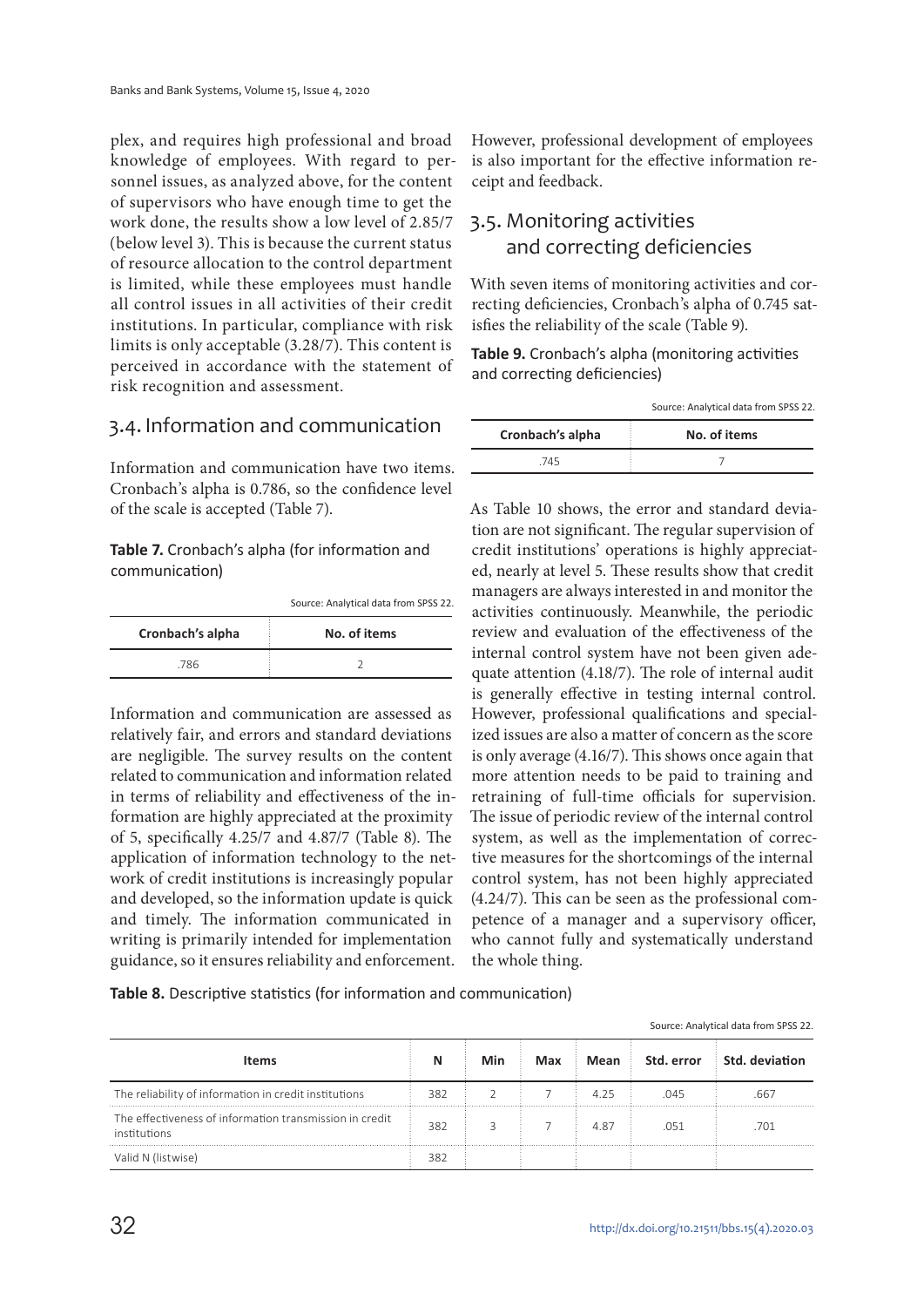plex, and requires high professional and broad knowledge of employees. With regard to personnel issues, as analyzed above, for the content of supervisors who have enough time to get the work done, the results show a low level of 2.85/7 (below level 3). This is because the current status of resource allocation to the control department is limited, while these employees must handle all control issues in all activities of their credit institutions. In particular, compliance with risk limits is only acceptable (3.28/7). This content is perceived in accordance with the statement of risk recognition and assessment.

#### 3.4. Information and communication

Information and communication have two items. Cronbach's alpha is 0.786, so the confidence level of the scale is accepted (Table 7).

**Table 7.** Cronbach's alpha (for information and communication)

|                  | Source: Analytical data from SPSS 22. |
|------------------|---------------------------------------|
| Cronbach's alpha | No. of items                          |
| 786              |                                       |

Information and communication are assessed as relatively fair, and errors and standard deviations are negligible. The survey results on the content related to communication and information related in terms of reliability and effectiveness of the information are highly appreciated at the proximity of 5, specifically 4.25/7 and 4.87/7 (Table 8). The application of information technology to the network of credit institutions is increasingly popular and developed, so the information update is quick and timely. The information communicated in writing is primarily intended for implementation guidance, so it ensures reliability and enforcement. However, professional development of employees is also important for the effective information receipt and feedback.

#### 3.5. Monitoring activities and correcting deficiencies

With seven items of monitoring activities and correcting deficiencies, Cronbach's alpha of 0.745 satisfies the reliability of the scale (Table 9).

**Table 9.** Cronbach's alpha (monitoring activities and correcting deficiencies)

|                  | Source: Analytical data from SPSS 22. |
|------------------|---------------------------------------|
| Cronbach's alpha | No. of items                          |
| -745             |                                       |

As Table 10 shows, the error and standard deviation are not significant. The regular supervision of credit institutions' operations is highly appreciated, nearly at level 5. These results show that credit managers are always interested in and monitor the activities continuously. Meanwhile, the periodic review and evaluation of the effectiveness of the internal control system have not been given adequate attention (4.18/7). The role of internal audit is generally effective in testing internal control. However, professional qualifications and specialized issues are also a matter of concern as the score is only average (4.16/7). This shows once again that more attention needs to be paid to training and retraining of full-time officials for supervision. The issue of periodic review of the internal control system, as well as the implementation of corrective measures for the shortcomings of the internal control system, has not been highly appreciated (4.24/7). This can be seen as the professional competence of a manager and a supervisory officer, who cannot fully and systematically understand the whole thing.

#### **Table 8.** Descriptive statistics (for information and communication)

| Source: Analytical data from SPSS 22.                                   |     |     |     |      |            |                |
|-------------------------------------------------------------------------|-----|-----|-----|------|------------|----------------|
| <b>Items</b>                                                            | N   | Min | Max | Mean | Std. error | Std. deviation |
| The reliability of information in credit institutions                   | 382 |     |     | 4.25 | .045       | .667           |
| The effectiveness of information transmission in credit<br>institutions | 382 |     |     | 4.87 | .051       | .701           |
| Valid N (listwise)                                                      | 382 |     |     |      |            |                |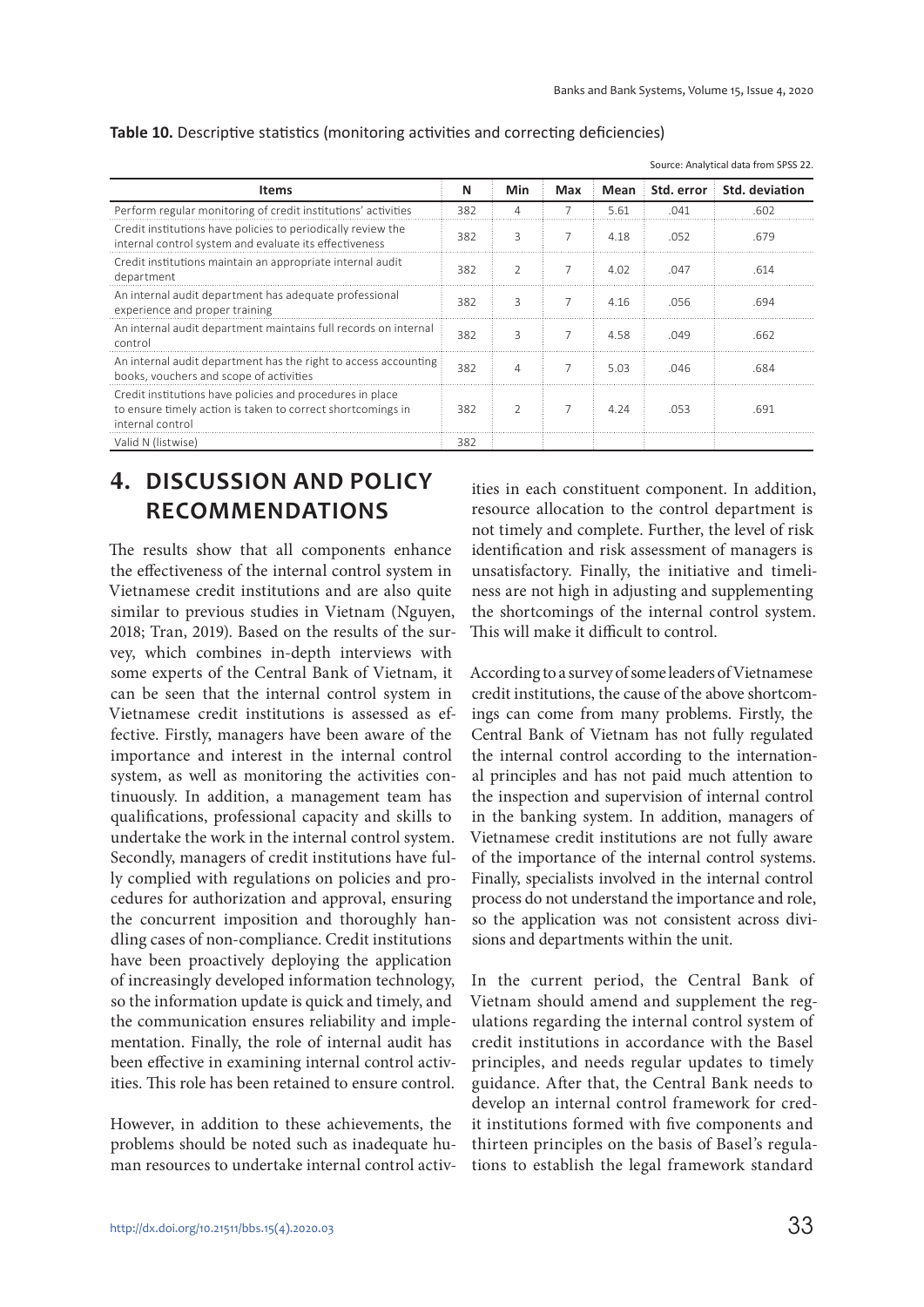Source: Analytical data from SPSS 22.

| <b>Items</b>                                                                                                                                 | N   | Min            | Max | Mean |      | Std. error Std. deviation |
|----------------------------------------------------------------------------------------------------------------------------------------------|-----|----------------|-----|------|------|---------------------------|
| Perform regular monitoring of credit institutions' activities                                                                                | 382 | $\overline{4}$ |     | 5.61 | .041 | .602                      |
| Credit institutions have policies to periodically review the<br>internal control system and evaluate its effectiveness                       | 382 | 3              |     | 4.18 | .052 | .679                      |
| Credit institutions maintain an appropriate internal audit<br>department                                                                     | 382 | $\mathcal{P}$  |     | 4.02 | 047  | .614                      |
| An internal audit department has adequate professional<br>experience and proper training                                                     | 382 | 3              | 7   | 4.16 | .056 | .694                      |
| An internal audit department maintains full records on internal<br>control                                                                   | 382 | 3              |     | 4.58 | 049  | .662                      |
| An internal audit department has the right to access accounting<br>books, vouchers and scope of activities                                   | 382 | $\overline{4}$ |     | 5.03 | .046 | .684                      |
| Credit institutions have policies and procedures in place<br>to ensure timely action is taken to correct shortcomings in<br>internal control | 382 | $\mathfrak{D}$ |     | 4.24 | .053 | .691                      |
| Valid N (listwise)                                                                                                                           | 382 |                |     |      |      |                           |

**Table 10.** Descriptive statistics (monitoring activities and correcting deficiencies)

## **4. DISCUSSION AND POLICY RECOMMENDATIONS**

The results show that all components enhance the effectiveness of the internal control system in Vietnamese credit institutions and are also quite similar to previous studies in Vietnam (Nguyen, 2018; Tran, 2019). Based on the results of the survey, which combines in-depth interviews with some experts of the Central Bank of Vietnam, it can be seen that the internal control system in Vietnamese credit institutions is assessed as effective. Firstly, managers have been aware of the importance and interest in the internal control system, as well as monitoring the activities continuously. In addition, a management team has qualifications, professional capacity and skills to undertake the work in the internal control system. Secondly, managers of credit institutions have fully complied with regulations on policies and procedures for authorization and approval, ensuring the concurrent imposition and thoroughly handling cases of non-compliance. Credit institutions have been proactively deploying the application of increasingly developed information technology, so the information update is quick and timely, and the communication ensures reliability and implementation. Finally, the role of internal audit has been effective in examining internal control activities. This role has been retained to ensure control.

However, in addition to these achievements, the problems should be noted such as inadequate human resources to undertake internal control activities in each constituent component. In addition, resource allocation to the control department is not timely and complete. Further, the level of risk identification and risk assessment of managers is unsatisfactory. Finally, the initiative and timeliness are not high in adjusting and supplementing the shortcomings of the internal control system. This will make it difficult to control.

According to a survey of some leaders of Vietnamese credit institutions, the cause of the above shortcomings can come from many problems. Firstly, the Central Bank of Vietnam has not fully regulated the internal control according to the international principles and has not paid much attention to the inspection and supervision of internal control in the banking system. In addition, managers of Vietnamese credit institutions are not fully aware of the importance of the internal control systems. Finally, specialists involved in the internal control process do not understand the importance and role, so the application was not consistent across divisions and departments within the unit.

In the current period, the Central Bank of Vietnam should amend and supplement the regulations regarding the internal control system of credit institutions in accordance with the Basel principles, and needs regular updates to timely guidance. After that, the Central Bank needs to develop an internal control framework for credit institutions formed with five components and thirteen principles on the basis of Basel's regulations to establish the legal framework standard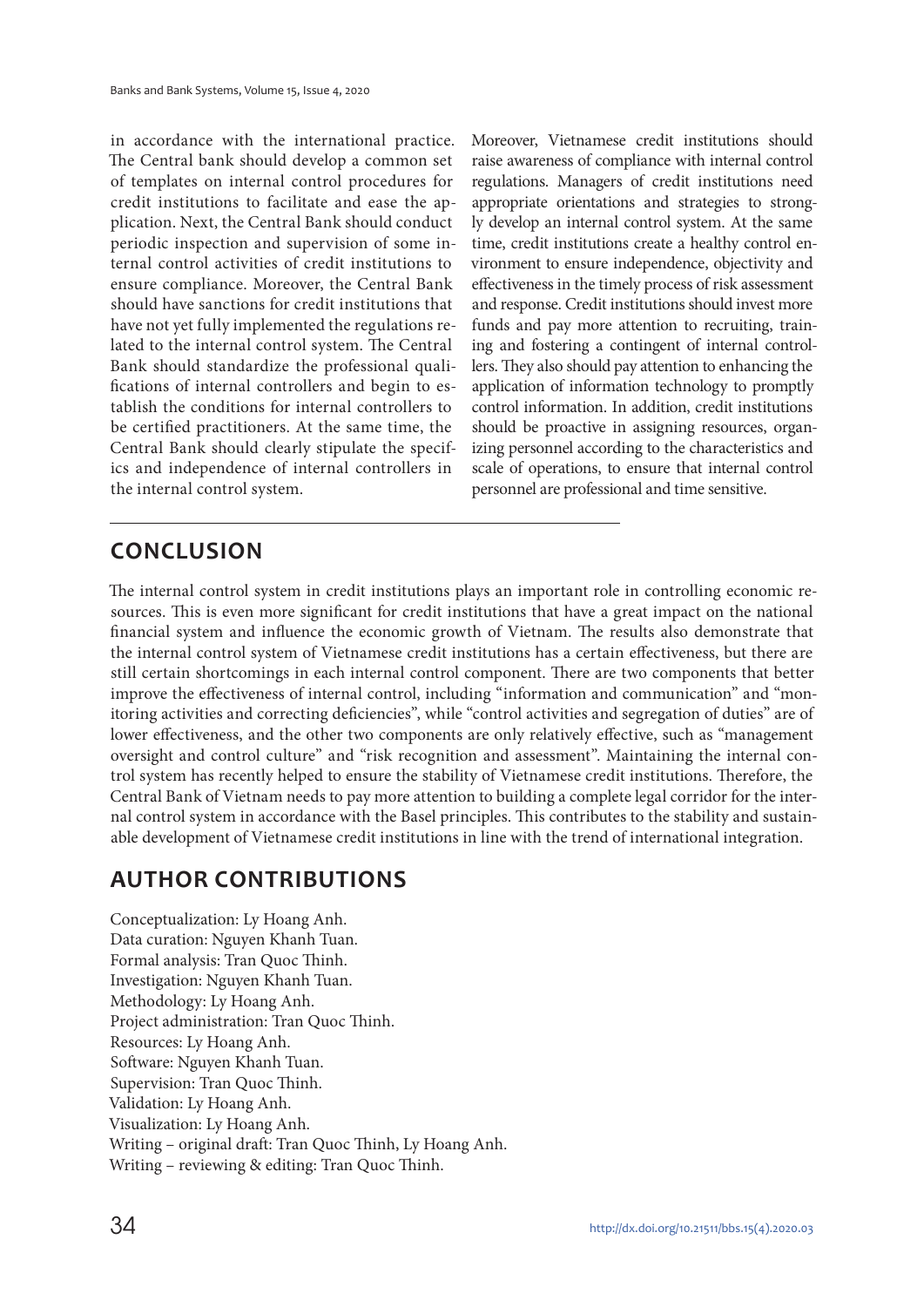in accordance with the international practice. The Central bank should develop a common set of templates on internal control procedures for credit institutions to facilitate and ease the application. Next, the Central Bank should conduct periodic inspection and supervision of some internal control activities of credit institutions to ensure compliance. Moreover, the Central Bank should have sanctions for credit institutions that have not yet fully implemented the regulations related to the internal control system. The Central Bank should standardize the professional qualifications of internal controllers and begin to establish the conditions for internal controllers to be certified practitioners. At the same time, the Central Bank should clearly stipulate the specifics and independence of internal controllers in the internal control system.

Moreover, Vietnamese credit institutions should raise awareness of compliance with internal control regulations. Managers of credit institutions need appropriate orientations and strategies to strongly develop an internal control system. At the same time, credit institutions create a healthy control environment to ensure independence, objectivity and effectiveness in the timely process of risk assessment and response. Credit institutions should invest more funds and pay more attention to recruiting, training and fostering a contingent of internal controllers. They also should pay attention to enhancing the application of information technology to promptly control information. In addition, credit institutions should be proactive in assigning resources, organizing personnel according to the characteristics and scale of operations, to ensure that internal control personnel are professional and time sensitive.

## **CONCLUSION**

The internal control system in credit institutions plays an important role in controlling economic resources. This is even more significant for credit institutions that have a great impact on the national financial system and influence the economic growth of Vietnam. The results also demonstrate that the internal control system of Vietnamese credit institutions has a certain effectiveness, but there are still certain shortcomings in each internal control component. There are two components that better improve the effectiveness of internal control, including "information and communication" and "monitoring activities and correcting deficiencies", while "control activities and segregation of duties" are of lower effectiveness, and the other two components are only relatively effective, such as "management oversight and control culture" and "risk recognition and assessment". Maintaining the internal control system has recently helped to ensure the stability of Vietnamese credit institutions. Therefore, the Central Bank of Vietnam needs to pay more attention to building a complete legal corridor for the internal control system in accordance with the Basel principles. This contributes to the stability and sustainable development of Vietnamese credit institutions in line with the trend of international integration.

## **AUTHOR CONTRIBUTIONS**

Conceptualization: Ly Hoang Anh. Data curation: Nguyen Khanh Tuan. Formal analysis: Tran Quoc Thinh. Investigation: Nguyen Khanh Tuan. Methodology: Ly Hoang Anh. Project administration: Tran Quoc Thinh. Resources: Ly Hoang Anh. Software: Nguyen Khanh Tuan. Supervision: Tran Quoc Thinh. Validation: Ly Hoang Anh. Visualization: Ly Hoang Anh. Writing – original draft: Tran Quoc Thinh, Ly Hoang Anh. Writing – reviewing & editing: Tran Quoc Thinh.